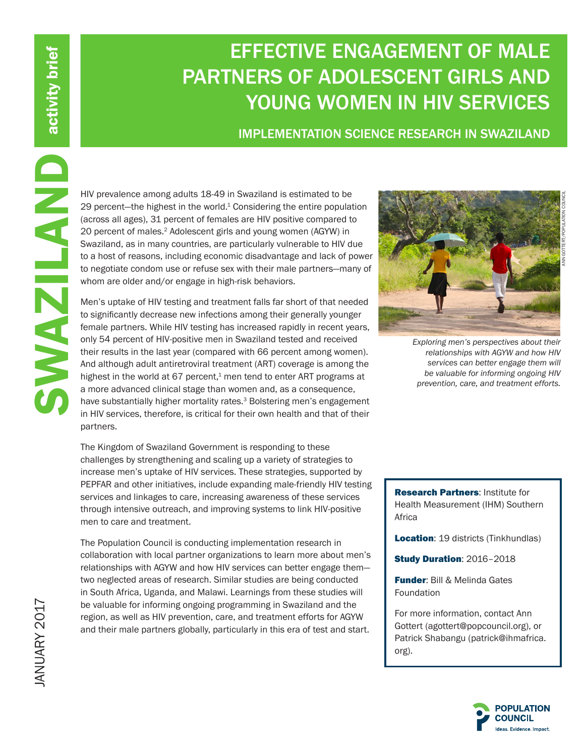# EFFECTIVE ENGAGEMENT OF MALE PARTNERS OF ADOLESCENT GIRLS AND YOUNG WOMEN IN HIV SERVICES

# IMPLEMENTATION SCIENCE RESEARCH IN SWAZILAND

29 percent—the highest in the world. $1$  Considering the entire population (across all ages), 31 percent of females are HIV positive compared to 20 percent of males.<sup>2</sup> Adolescent girls and young women (AGYW) in Swaziland, as in many countries, are particularly vulnerable to HIV due to a host of reasons, including economic disadvantage and lack of power to negotiate condom use or refuse sex with their male partners—many of whom are older and/or engage in high-risk behaviors.

HIV prevalence among adults 18-49 in Swaziland is estimated to be<br>a care HIV prosince consider considering the entire population<br>(across all ages), 31 percent of females are HIV positive compared to<br>20 percent of males.<sup>2</sup> Men's uptake of HIV testing and treatment falls far short of that needed to significantly decrease new infections among their generally younger female partners. While HIV testing has increased rapidly in recent years, only 54 percent of HIV-positive men in Swaziland tested and received their results in the last year (compared with 66 percent among women). And although adult antiretroviral treatment (ART) coverage is among the highest in the world at 67 percent, $1$  men tend to enter ART programs at a more advanced clinical stage than women and, as a consequence, have substantially higher mortality rates.<sup>3</sup> Bolstering men's engagement in HIV services, therefore, is critical for their own health and that of their partners.

The Kingdom of Swaziland Government is responding to these challenges by strengthening and scaling up a variety of strategies to increase men's uptake of HIV services. These strategies, supported by PEPFAR and other initiatives, include expanding male-friendly HIV testing services and linkages to care, increasing awareness of these services through intensive outreach, and improving systems to link HIV-positive men to care and treatment.

The Population Council is conducting implementation research in collaboration with local partner organizations to learn more about men's relationships with AGYW and how HIV services can better engage them two neglected areas of research. Similar studies are being conducted in South Africa, Uganda, and Malawi. Learnings from these studies will be valuable for informing ongoing programming in Swaziland and the region, as well as HIV prevention, care, and treatment efforts for AGYW and their male partners globally, particularly in this era of test and start.



*Exploring men's perspectives about their relationships with AGYW and how HIV services can better engage them will be valuable for informing ongoing HIV prevention, care, and treatment efforts.*

Research Partners: Institute for Health Measurement (IHM) Southern Africa

**Location:** 19 districts (Tinkhundlas)

**Study Duration: 2016-2018** 

**Funder: Bill & Melinda Gates** Foundation

For more information, contact Ann Gottert (agottert@popcouncil.org), or Patrick Shabangu (patrick@ihmafrica. org).